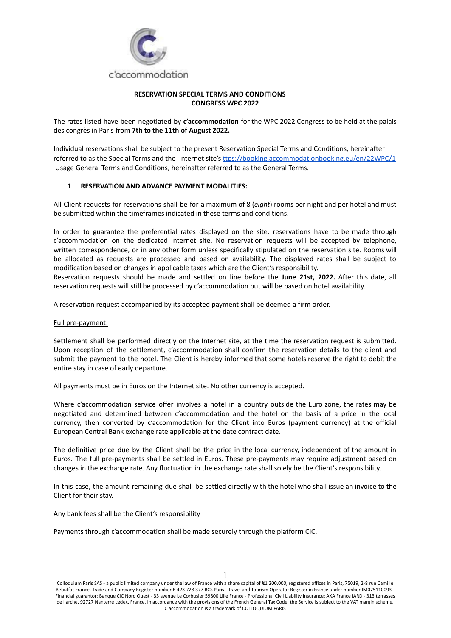

## **RESERVATION SPECIAL TERMS AND CONDITIONS CONGRESS WPC 2022**

The rates listed have been negotiated by **c'accommodation** for the WPC 2022 Congress to be held at the palais des congrès in Paris from **7th to the 11th of August 2022.**

Individual reservations shall be subject to the present Reservation Special Terms and Conditions, hereinafter referred to as the Special Terms and the Internet site's [ttps://booking.accommodationbooking.eu/en/22WPC/1](https://booking.accommodationbooking.eu/en/22WPC/1) Usage General Terms and Conditions, hereinafter referred to as the General Terms.

## 1. **RESERVATION AND ADVANCE PAYMENT MODALITIES:**

All Client requests for reservations shall be for a maximum of 8 (*eight*) rooms per night and per hotel and must be submitted within the timeframes indicated in these terms and conditions.

In order to guarantee the preferential rates displayed on the site, reservations have to be made through c'accommodation on the dedicated Internet site. No reservation requests will be accepted by telephone, written correspondence, or in any other form unless specifically stipulated on the reservation site. Rooms will be allocated as requests are processed and based on availability. The displayed rates shall be subject to modification based on changes in applicable taxes which are the Client's responsibility.

Reservation requests should be made and settled on line before the **June 21st, 2022.** After this date, all reservation requests will still be processed by c'accommodation but will be based on hotel availability.

A reservation request accompanied by its accepted payment shall be deemed a firm order.

#### Full pre-payment:

Settlement shall be performed directly on the Internet site, at the time the reservation request is submitted. Upon reception of the settlement, c'accommodation shall confirm the reservation details to the client and submit the payment to the hotel. The Client is hereby informed that some hotels reserve the right to debit the entire stay in case of early departure.

All payments must be in Euros on the Internet site. No other currency is accepted.

Where c'accommodation service offer involves a hotel in a country outside the Euro zone, the rates may be negotiated and determined between c'accommodation and the hotel on the basis of a price in the local currency, then converted by c'accommodation for the Client into Euros (payment currency) at the official European Central Bank exchange rate applicable at the date contract date.

The definitive price due by the Client shall be the price in the local currency, independent of the amount in Euros. The full pre-payments shall be settled in Euros. These pre-payments may require adjustment based on changes in the exchange rate. Any fluctuation in the exchange rate shall solely be the Client's responsibility.

In this case, the amount remaining due shall be settled directly with the hotel who shall issue an invoice to the Client for their stay.

Any bank fees shall be the Client's responsibility

Payments through c'accommodation shall be made securely through the platform CIC.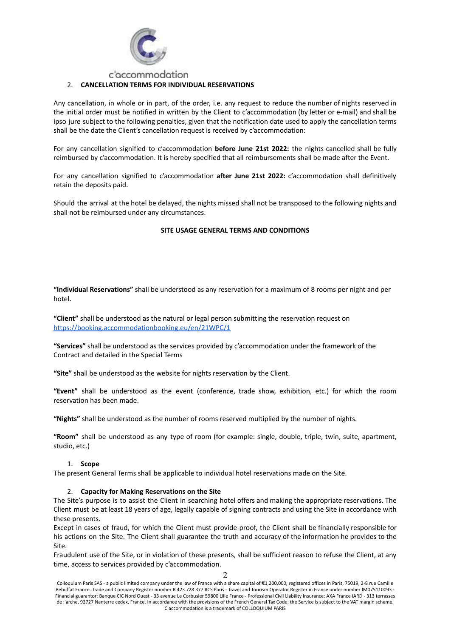

## 2. **CANCELLATION TERMS FOR INDIVIDUAL RESERVATIONS**

Any cancellation, in whole or in part, of the order, i.e. any request to reduce the number of nights reserved in the initial order must be notified in written by the Client to c'accommodation (by letter or e-mail) and shall be ipso jure subject to the following penalties, given that the notification date used to apply the cancellation terms shall be the date the Client's cancellation request is received by c'accommodation:

For any cancellation signified to c'accommodation **before June 21st 2022:** the nights cancelled shall be fully reimbursed by c'accommodation. It is hereby specified that all reimbursements shall be made after the Event.

For any cancellation signified to c'accommodation **after June 21st 2022:** c'accommodation shall definitively retain the deposits paid.

Should the arrival at the hotel be delayed, the nights missed shall not be transposed to the following nights and shall not be reimbursed under any circumstances.

#### **SITE USAGE GENERAL TERMS AND CONDITIONS**

**"Individual Reservations"** shall be understood as any reservation for a maximum of 8 rooms per night and per hotel.

**"Client"** shall be understood as the natural or legal person submitting the reservation request on [https://booking.accommodationbooking.eu/en/21WPC/1](https://booking.accommodationbooking.eu/en/20WPC/1)

**"Services"** shall be understood as the services provided by c'accommodation under the framework of the Contract and detailed in the Special Terms

**"Site"** shall be understood as the website for nights reservation by the Client.

**"Event"** shall be understood as the event (conference, trade show, exhibition, etc.) for which the room reservation has been made.

**"Nights"** shall be understood as the number of rooms reserved multiplied by the number of nights.

**"Room"** shall be understood as any type of room (for example: single, double, triple, twin, suite, apartment, studio, etc.)

#### 1. **Scope**

The present General Terms shall be applicable to individual hotel reservations made on the Site.

#### 2. **Capacity for Making Reservations on the Site**

The Site's purpose is to assist the Client in searching hotel offers and making the appropriate reservations. The Client must be at least 18 years of age, legally capable of signing contracts and using the Site in accordance with these presents.

Except in cases of fraud, for which the Client must provide proof, the Client shall be financially responsible for his actions on the Site. The Client shall guarantee the truth and accuracy of the information he provides to the Site.

Fraudulent use of the Site, or in violation of these presents, shall be sufficient reason to refuse the Client, at any time, access to services provided by c'accommodation.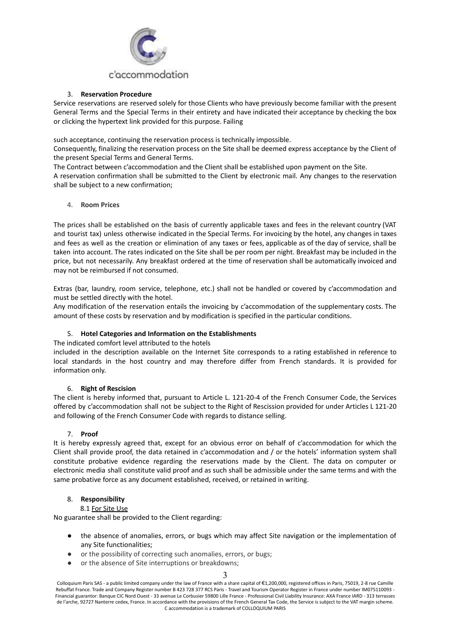

## 3. **Reservation Procedure**

Service reservations are reserved solely for those Clients who have previously become familiar with the present General Terms and the Special Terms in their entirety and have indicated their acceptance by checking the box or clicking the hypertext link provided for this purpose. Failing

such acceptance, continuing the reservation process is technically impossible.

Consequently, finalizing the reservation process on the Site shall be deemed express acceptance by the Client of the present Special Terms and General Terms.

The Contract between c'accommodation and the Client shall be established upon payment on the Site.

A reservation confirmation shall be submitted to the Client by electronic mail. Any changes to the reservation shall be subject to a new confirmation;

## 4. **Room Prices**

The prices shall be established on the basis of currently applicable taxes and fees in the relevant country (VAT and tourist tax) unless otherwise indicated in the Special Terms. For invoicing by the hotel, any changes in taxes and fees as well as the creation or elimination of any taxes or fees, applicable as of the day of service, shall be taken into account. The rates indicated on the Site shall be per room per night. Breakfast may be included in the price, but not necessarily. Any breakfast ordered at the time of reservation shall be automatically invoiced and may not be reimbursed if not consumed.

Extras (bar, laundry, room service, telephone, etc.) shall not be handled or covered by c'accommodation and must be settled directly with the hotel.

Any modification of the reservation entails the invoicing by c'accommodation of the supplementary costs. The amount of these costs by reservation and by modification is specified in the particular conditions.

## 5. **Hotel Categories and Information on the Establishments**

The indicated comfort level attributed to the hotels

included in the description available on the Internet Site corresponds to a rating established in reference to local standards in the host country and may therefore differ from French standards. It is provided for information only.

## 6. **Right of Rescision**

The client is hereby informed that, pursuant to Article L. 121-20-4 of the French Consumer Code, the Services offered by c'accommodation shall not be subject to the Right of Rescission provided for under Articles L 121-20 and following of the French Consumer Code with regards to distance selling.

## 7. **Proof**

It is hereby expressly agreed that, except for an obvious error on behalf of c'accommodation for which the Client shall provide proof, the data retained in c'accommodation and / or the hotels' information system shall constitute probative evidence regarding the reservations made by the Client. The data on computer or electronic media shall constitute valid proof and as such shall be admissible under the same terms and with the same probative force as any document established, received, or retained in writing.

## 8. **Responsibility**

## 8.1 For Site Use

No guarantee shall be provided to the Client regarding:

- the absence of anomalies, errors, or bugs which may affect Site navigation or the implementation of any Site functionalities;
- or the possibility of correcting such anomalies, errors, or bugs;
- or the absence of Site interruptions or breakdowns;

#### 3

Colloquium Paris SAS - a public limited company under the law of France with a share capital of €1,200,000, registered offices in Paris, 75019, 2-8 rue Camille Rebuffat France. Trade and Company Register number B 423 728 377 RCS Paris - Travel and Tourism Operator Register in France under number IM075110093 - Financial guarantor: Banque CIC Nord Ouest - 33 avenue Le Corbusier 59800 Lille France - Professional Civil Liability Insurance: AXA France IARD - 313 terrasses de l'arche, 92727 Nanterre cedex, France. In accordance with the provisions of the French General Tax Code, the Service is subject to the VAT margin scheme. C accommodation is a trademark of COLLOQUIUM PARIS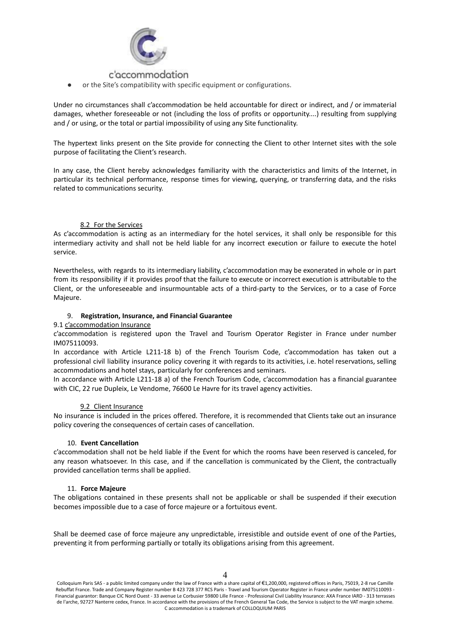

or the Site's compatibility with specific equipment or configurations.

Under no circumstances shall c'accommodation be held accountable for direct or indirect, and / or immaterial damages, whether foreseeable or not (including the loss of profits or opportunity....) resulting from supplying and / or using, or the total or partial impossibility of using any Site functionality.

The hypertext links present on the Site provide for connecting the Client to other Internet sites with the sole purpose of facilitating the Client's research.

In any case, the Client hereby acknowledges familiarity with the characteristics and limits of the Internet, in particular its technical performance, response times for viewing, querying, or transferring data, and the risks related to communications security.

## 8.2 For the Services

As c'accommodation is acting as an intermediary for the hotel services, it shall only be responsible for this intermediary activity and shall not be held liable for any incorrect execution or failure to execute the hotel service.

Nevertheless, with regards to its intermediary liability, c'accommodation may be exonerated in whole or in part from its responsibility if it provides proof that the failure to execute or incorrect execution is attributable to the Client, or the unforeseeable and insurmountable acts of a third-party to the Services, or to a case of Force Majeure.

## 9. **Registration, Insurance, and Financial Guarantee**

#### 9.1 c'accommodation Insurance

c'accommodation is registered upon the Travel and Tourism Operator Register in France under number IM075110093.

In accordance with Article L211-18 b) of the French Tourism Code, c'accommodation has taken out a professional civil liability insurance policy covering it with regards to its activities, i.e. hotel reservations, selling accommodations and hotel stays, particularly for conferences and seminars.

In accordance with Article L211-18 a) of the French Tourism Code, c'accommodation has a financial guarantee with CIC, 22 rue Dupleix, Le Vendome, 76600 Le Havre for its travel agency activities.

## 9.2 Client Insurance

No insurance is included in the prices offered. Therefore, it is recommended that Clients take out an insurance policy covering the consequences of certain cases of cancellation.

#### 10. **Event Cancellation**

c'accommodation shall not be held liable if the Event for which the rooms have been reserved is canceled, for any reason whatsoever. In this case, and if the cancellation is communicated by the Client, the contractually provided cancellation terms shall be applied.

#### 11. **Force Majeure**

The obligations contained in these presents shall not be applicable or shall be suspended if their execution becomes impossible due to a case of force majeure or a fortuitous event.

Shall be deemed case of force majeure any unpredictable, irresistible and outside event of one of the Parties, preventing it from performing partially or totally its obligations arising from this agreement.

 $\Delta$ 

Colloquium Paris SAS - a public limited company under the law of France with a share capital of €1,200,000, registered offices in Paris, 75019, 2-8 rue Camille Rebuffat France. Trade and Company Register number B 423 728 377 RCS Paris - Travel and Tourism Operator Register in France under number IM075110093 - Financial guarantor: Banque CIC Nord Ouest - 33 avenue Le Corbusier 59800 Lille France - Professional Civil Liability Insurance: AXA France IARD - 313 terrasses de l'arche, 92727 Nanterre cedex, France. In accordance with the provisions of the French General Tax Code, the Service is subject to the VAT margin scheme. C accommodation is a trademark of COLLOQUIUM PARIS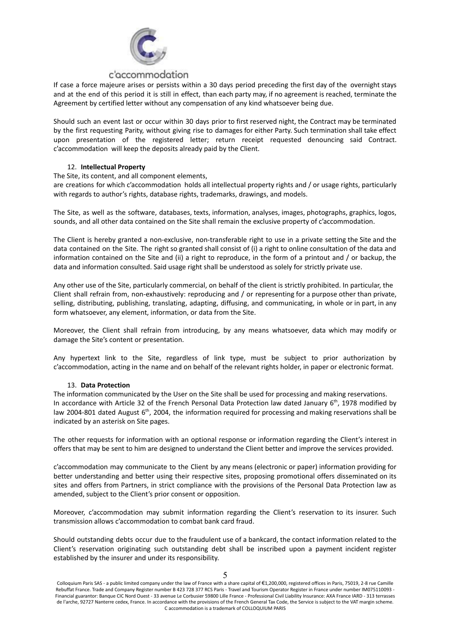

If case a force majeure arises or persists within a 30 days period preceding the first day of the overnight stays and at the end of this period it is still in effect, than each party may, if no agreement is reached, terminate the Agreement by certified letter without any compensation of any kind whatsoever being due.

Should such an event last or occur within 30 days prior to first reserved night, the Contract may be terminated by the first requesting Parity, without giving rise to damages for either Party. Such termination shall take effect upon presentation of the registered letter; return receipt requested denouncing said Contract. c'accommodation will keep the deposits already paid by the Client.

## 12. **Intellectual Property**

The Site, its content, and all component elements,

are creations for which c'accommodation holds all intellectual property rights and / or usage rights, particularly with regards to author's rights, database rights, trademarks, drawings, and models.

The Site, as well as the software, databases, texts, information, analyses, images, photographs, graphics, logos, sounds, and all other data contained on the Site shall remain the exclusive property of c'accommodation.

The Client is hereby granted a non-exclusive, non-transferable right to use in a private setting the Site and the data contained on the Site. The right so granted shall consist of (i) a right to online consultation of the data and information contained on the Site and (ii) a right to reproduce, in the form of a printout and / or backup, the data and information consulted. Said usage right shall be understood as solely for strictly private use.

Any other use of the Site, particularly commercial, on behalf of the client is strictly prohibited. In particular, the Client shall refrain from, non-exhaustively: reproducing and / or representing for a purpose other than private, selling, distributing, publishing, translating, adapting, diffusing, and communicating, in whole or in part, in any form whatsoever, any element, information, or data from the Site.

Moreover, the Client shall refrain from introducing, by any means whatsoever, data which may modify or damage the Site's content or presentation.

Any hypertext link to the Site, regardless of link type, must be subject to prior authorization by c'accommodation, acting in the name and on behalf of the relevant rights holder, in paper or electronic format.

## 13. **Data Protection**

The information communicated by the User on the Site shall be used for processing and making reservations. In accordance with Article 32 of the French Personal Data Protection law dated January 6<sup>th</sup>, 1978 modified by law 2004-801 dated August 6<sup>th</sup>, 2004, the information required for processing and making reservations shall be indicated by an asterisk on Site pages.

The other requests for information with an optional response or information regarding the Client's interest in offers that may be sent to him are designed to understand the Client better and improve the services provided.

c'accommodation may communicate to the Client by any means (electronic or paper) information providing for better understanding and better using their respective sites, proposing promotional offers disseminated on its sites and offers from Partners, in strict compliance with the provisions of the Personal Data Protection law as amended, subject to the Client's prior consent or opposition.

Moreover, c'accommodation may submit information regarding the Client's reservation to its insurer. Such transmission allows c'accommodation to combat bank card fraud.

Should outstanding debts occur due to the fraudulent use of a bankcard, the contact information related to the Client's reservation originating such outstanding debt shall be inscribed upon a payment incident register established by the insurer and under its responsibility.

Colloquium Paris SAS - a public limited company under the law of France with a share capital of €1,200,000, registered offices in Paris, 75019, 2-8 rue Camille Rebuffat France. Trade and Company Register number B 423 728 377 RCS Paris - Travel and Tourism Operator Register in France under number IM075110093 - Financial guarantor: Banque CIC Nord Ouest - 33 avenue Le Corbusier 59800 Lille France - Professional Civil Liability Insurance: AXA France IARD - 313 terrasses de l'arche, 92727 Nanterre cedex, France. In accordance with the provisions of the French General Tax Code, the Service is subject to the VAT margin scheme. C accommodation is a trademark of COLLOQUIUM PARIS